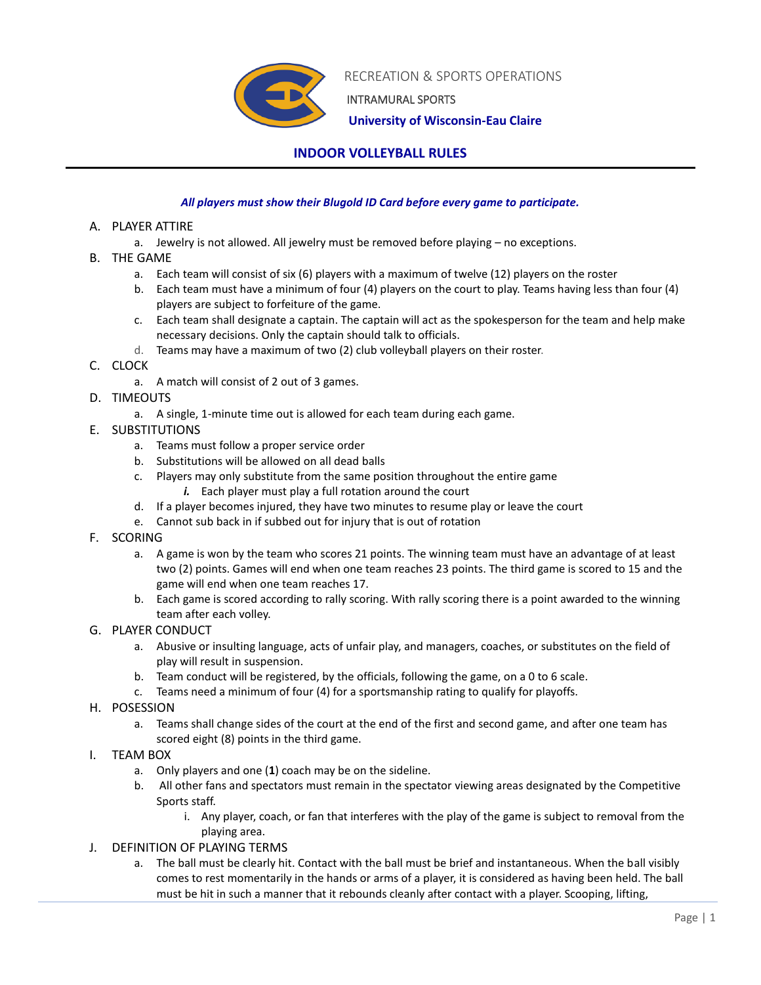

RECREATION & SPORTS OPERATIONS

INTRAMURAL SPORTS

 **University of Wisconsin-Eau Claire**

# **INDOOR VOLLEYBALL RULES**

### *All players must show their Blugold ID Card before every game to participate.*

#### A. PLAYER ATTIRE

- a. Jewelry is not allowed. All jewelry must be removed before playing no exceptions.
- B. THE GAME
	- a. Each team will consist of six (6) players with a maximum of twelve (12) players on the roster
	- b. Each team must have a minimum of four (4) players on the court to play. Teams having less than four (4) players are subject to forfeiture of the game.
	- c. Each team shall designate a captain. The captain will act as the spokesperson for the team and help make necessary decisions. Only the captain should talk to officials.
	- d. Teams may have a maximum of two (2) club volleyball players on their roster.
- C. CLOCK
	- a. A match will consist of 2 out of 3 games.
- D. TIMEOUTS
	- a. A single, 1-minute time out is allowed for each team during each game.

## E. SUBSTITUTIONS

- a. Teams must follow a proper service order
- b. Substitutions will be allowed on all dead balls
- c. Players may only substitute from the same position throughout the entire game *i.* Each player must play a full rotation around the court
- d. If a player becomes injured, they have two minutes to resume play or leave the court
- e. Cannot sub back in if subbed out for injury that is out of rotation
- F. SCORING
	- a. A game is won by the team who scores 21 points. The winning team must have an advantage of at least two (2) points. Games will end when one team reaches 23 points. The third game is scored to 15 and the game will end when one team reaches 17.
	- b. Each game is scored according to rally scoring. With rally scoring there is a point awarded to the winning team after each volley.
- G. PLAYER CONDUCT
	- a. Abusive or insulting language, acts of unfair play, and managers, coaches, or substitutes on the field of play will result in suspension.
	- b. Team conduct will be registered, by the officials, following the game, on a 0 to 6 scale.
	- c. Teams need a minimum of four (4) for a sportsmanship rating to qualify for playoffs.
- H. POSESSION
	- a. Teams shall change sides of the court at the end of the first and second game, and after one team has scored eight (8) points in the third game.
- I. TEAM BOX
	- a. Only players and one (**1**) coach may be on the sideline.
	- b. All other fans and spectators must remain in the spectator viewing areas designated by the Competitive Sports staff.
		- i. Any player, coach, or fan that interferes with the play of the game is subject to removal from the playing area.
- J. DEFINITION OF PLAYING TERMS
	- a. The ball must be clearly hit. Contact with the ball must be brief and instantaneous. When the ball visibly comes to rest momentarily in the hands or arms of a player, it is considered as having been held. The ball must be hit in such a manner that it rebounds cleanly after contact with a player. Scooping, lifting,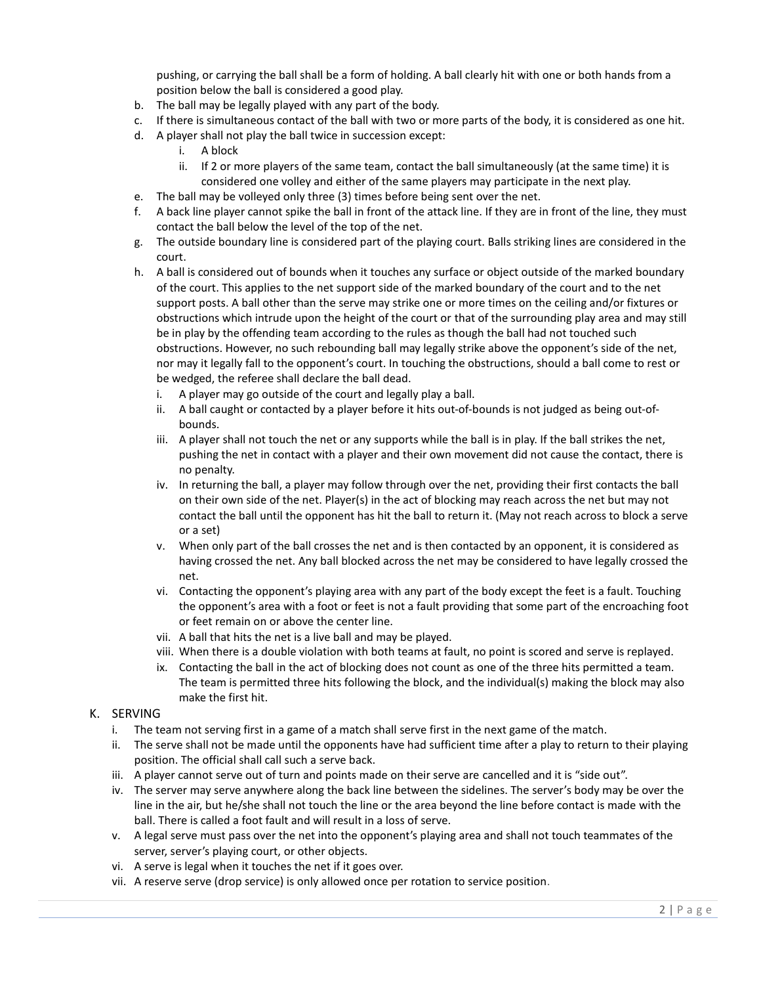pushing, or carrying the ball shall be a form of holding. A ball clearly hit with one or both hands from a position below the ball is considered a good play.

- b. The ball may be legally played with any part of the body.
- c. If there is simultaneous contact of the ball with two or more parts of the body, it is considered as one hit.
- d. A player shall not play the ball twice in succession except:
	- i. A block
	- ii. If 2 or more players of the same team, contact the ball simultaneously (at the same time) it is considered one volley and either of the same players may participate in the next play.
- e. The ball may be volleyed only three (3) times before being sent over the net.
- f. A back line player cannot spike the ball in front of the attack line. If they are in front of the line, they must contact the ball below the level of the top of the net.
- g. The outside boundary line is considered part of the playing court. Balls striking lines are considered in the court.
- h. A ball is considered out of bounds when it touches any surface or object outside of the marked boundary of the court. This applies to the net support side of the marked boundary of the court and to the net support posts. A ball other than the serve may strike one or more times on the ceiling and/or fixtures or obstructions which intrude upon the height of the court or that of the surrounding play area and may still be in play by the offending team according to the rules as though the ball had not touched such obstructions. However, no such rebounding ball may legally strike above the opponent's side of the net, nor may it legally fall to the opponent's court. In touching the obstructions, should a ball come to rest or be wedged, the referee shall declare the ball dead.
	- i. A player may go outside of the court and legally play a ball.
	- ii. A ball caught or contacted by a player before it hits out-of-bounds is not judged as being out-ofbounds.
	- iii. A player shall not touch the net or any supports while the ball is in play. If the ball strikes the net, pushing the net in contact with a player and their own movement did not cause the contact, there is no penalty.
	- iv. In returning the ball, a player may follow through over the net, providing their first contacts the ball on their own side of the net. Player(s) in the act of blocking may reach across the net but may not contact the ball until the opponent has hit the ball to return it. (May not reach across to block a serve or a set)
	- v. When only part of the ball crosses the net and is then contacted by an opponent, it is considered as having crossed the net. Any ball blocked across the net may be considered to have legally crossed the net.
	- vi. Contacting the opponent's playing area with any part of the body except the feet is a fault. Touching the opponent's area with a foot or feet is not a fault providing that some part of the encroaching foot or feet remain on or above the center line.
	- vii. A ball that hits the net is a live ball and may be played.
	- viii. When there is a double violation with both teams at fault, no point is scored and serve is replayed.
	- ix. Contacting the ball in the act of blocking does not count as one of the three hits permitted a team. The team is permitted three hits following the block, and the individual(s) making the block may also make the first hit.

## K. SERVING

- i. The team not serving first in a game of a match shall serve first in the next game of the match.
- ii. The serve shall not be made until the opponents have had sufficient time after a play to return to their playing position. The official shall call such a serve back.
- iii. A player cannot serve out of turn and points made on their serve are cancelled and it is "side out".
- iv. The server may serve anywhere along the back line between the sidelines. The server's body may be over the line in the air, but he/she shall not touch the line or the area beyond the line before contact is made with the ball. There is called a foot fault and will result in a loss of serve.
- v. A legal serve must pass over the net into the opponent's playing area and shall not touch teammates of the server, server's playing court, or other objects.
- vi. A serve is legal when it touches the net if it goes over.
- vii. A reserve serve (drop service) is only allowed once per rotation to service position.